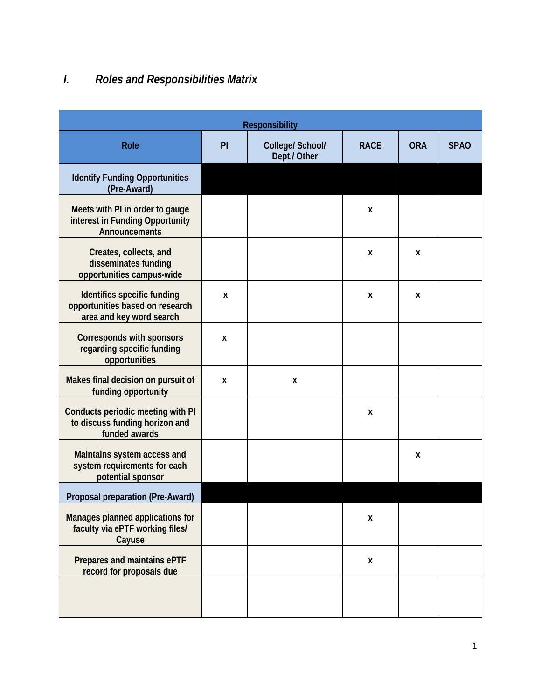## *I. Roles and Responsibilities Matrix*

| <b>Responsibility</b>                                                                      |    |                                  |             |            |             |  |  |
|--------------------------------------------------------------------------------------------|----|----------------------------------|-------------|------------|-------------|--|--|
| <b>Role</b>                                                                                | PI | College/ School/<br>Dept./ Other | <b>RACE</b> | <b>ORA</b> | <b>SPAO</b> |  |  |
| <b>Identify Funding Opportunities</b><br>(Pre-Award)                                       |    |                                  |             |            |             |  |  |
| Meets with PI in order to gauge<br>interest in Funding Opportunity<br>Announcements        |    |                                  | X           |            |             |  |  |
| Creates, collects, and<br>disseminates funding<br>opportunities campus-wide                |    |                                  | X           | X          |             |  |  |
| Identifies specific funding<br>opportunities based on research<br>area and key word search | X  |                                  | X           | X          |             |  |  |
| Corresponds with sponsors<br>regarding specific funding<br>opportunities                   | X  |                                  |             |            |             |  |  |
| Makes final decision on pursuit of<br>funding opportunity                                  | X  | X                                |             |            |             |  |  |
| Conducts periodic meeting with PI<br>to discuss funding horizon and<br>funded awards       |    |                                  | X           |            |             |  |  |
| Maintains system access and<br>system requirements for each<br>potential sponsor           |    |                                  |             | X          |             |  |  |
| Proposal preparation (Pre-Award)                                                           |    |                                  |             |            |             |  |  |
| Manages planned applications for<br>faculty via ePTF working files/<br>Cayuse              |    |                                  | X           |            |             |  |  |
| Prepares and maintains ePTF<br>record for proposals due                                    |    |                                  | X           |            |             |  |  |
|                                                                                            |    |                                  |             |            |             |  |  |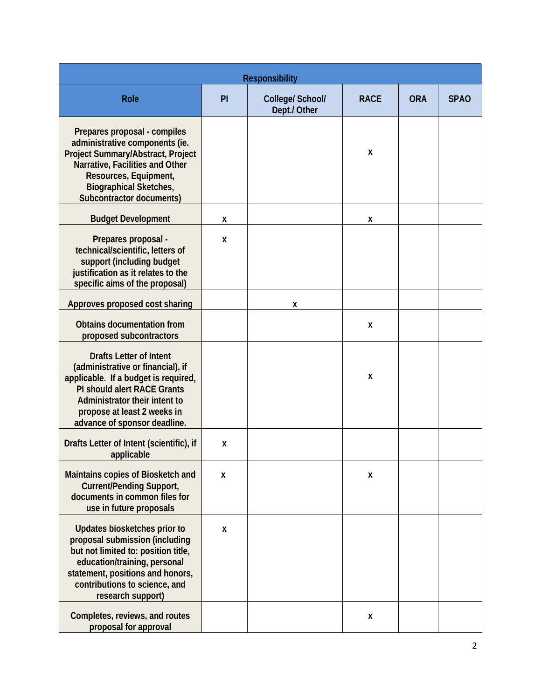| <b>Responsibility</b>                                                                                                                                                                                                                             |    |                                  |             |            |             |  |  |
|---------------------------------------------------------------------------------------------------------------------------------------------------------------------------------------------------------------------------------------------------|----|----------------------------------|-------------|------------|-------------|--|--|
| <b>Role</b>                                                                                                                                                                                                                                       | PI | College/ School/<br>Dept./ Other | <b>RACE</b> | <b>ORA</b> | <b>SPAO</b> |  |  |
| Prepares proposal - compiles<br>administrative components (ie.<br>Project Summary/Abstract, Project<br>Narrative, Facilities and Other<br>Resources, Equipment,<br><b>Biographical Sketches,</b><br><b>Subcontractor documents)</b>               |    |                                  | X           |            |             |  |  |
| <b>Budget Development</b>                                                                                                                                                                                                                         | X  |                                  | X           |            |             |  |  |
| Prepares proposal -<br>technical/scientific, letters of<br>support (including budget<br>justification as it relates to the<br>specific aims of the proposal)                                                                                      | X  |                                  |             |            |             |  |  |
| Approves proposed cost sharing                                                                                                                                                                                                                    |    | X                                |             |            |             |  |  |
| <b>Obtains documentation from</b><br>proposed subcontractors                                                                                                                                                                                      |    |                                  | X           |            |             |  |  |
| <b>Drafts Letter of Intent</b><br>(administrative or financial), if<br>applicable. If a budget is required,<br><b>PI should alert RACE Grants</b><br>Administrator their intent to<br>propose at least 2 weeks in<br>advance of sponsor deadline. |    |                                  | X           |            |             |  |  |
| Drafts Letter of Intent (scientific), if<br>applicable                                                                                                                                                                                            | Χ  |                                  |             |            |             |  |  |
| Maintains copies of Biosketch and<br><b>Current/Pending Support,</b><br>documents in common files for<br>use in future proposals                                                                                                                  | X  |                                  | X           |            |             |  |  |
| Updates biosketches prior to<br>proposal submission (including<br>but not limited to: position title,<br>education/training, personal<br>statement, positions and honors,<br>contributions to science, and<br>research support)                   | X  |                                  |             |            |             |  |  |
| Completes, reviews, and routes<br>proposal for approval                                                                                                                                                                                           |    |                                  | X           |            |             |  |  |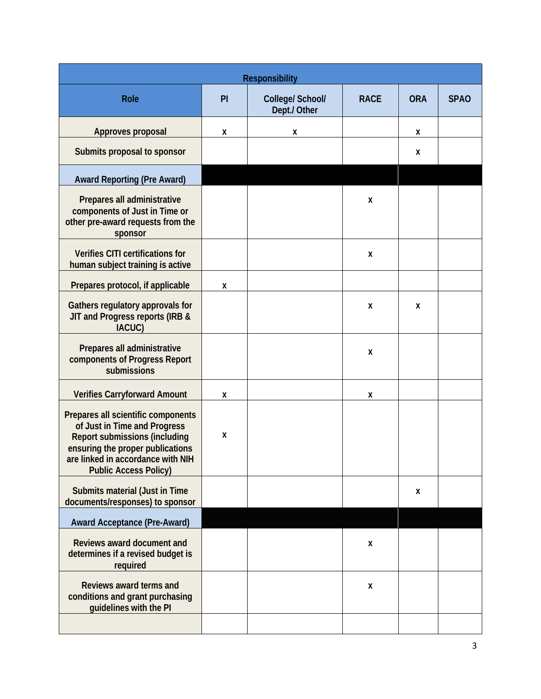| <b>Responsibility</b>                                                                                                                                                                                               |    |                                  |             |            |             |  |  |
|---------------------------------------------------------------------------------------------------------------------------------------------------------------------------------------------------------------------|----|----------------------------------|-------------|------------|-------------|--|--|
| Role                                                                                                                                                                                                                | PI | College/ School/<br>Dept./ Other | <b>RACE</b> | <b>ORA</b> | <b>SPAO</b> |  |  |
| Approves proposal                                                                                                                                                                                                   | X  | X                                |             | X          |             |  |  |
| Submits proposal to sponsor                                                                                                                                                                                         |    |                                  |             | X          |             |  |  |
| <b>Award Reporting (Pre Award)</b>                                                                                                                                                                                  |    |                                  |             |            |             |  |  |
| Prepares all administrative<br>components of Just in Time or<br>other pre-award requests from the<br>sponsor                                                                                                        |    |                                  | X           |            |             |  |  |
| Verifies CITI certifications for<br>human subject training is active                                                                                                                                                |    |                                  | X           |            |             |  |  |
| Prepares protocol, if applicable                                                                                                                                                                                    | X  |                                  |             |            |             |  |  |
| Gathers regulatory approvals for<br>JIT and Progress reports (IRB &<br>IACUC)                                                                                                                                       |    |                                  | X           | X          |             |  |  |
| Prepares all administrative<br>components of Progress Report<br>submissions                                                                                                                                         |    |                                  | X           |            |             |  |  |
| <b>Verifies Carryforward Amount</b>                                                                                                                                                                                 | X  |                                  | X           |            |             |  |  |
| Prepares all scientific components<br>of Just in Time and Progress<br><b>Report submissions (including</b><br>ensuring the proper publications<br>are linked in accordance with NIH<br><b>Public Access Policy)</b> | X  |                                  |             |            |             |  |  |
| Submits material (Just in Time<br>documents/responses) to sponsor                                                                                                                                                   |    |                                  |             | X          |             |  |  |
| <b>Award Acceptance (Pre-Award)</b>                                                                                                                                                                                 |    |                                  |             |            |             |  |  |
| Reviews award document and<br>determines if a revised budget is<br>required                                                                                                                                         |    |                                  | X           |            |             |  |  |
| Reviews award terms and<br>conditions and grant purchasing<br>guidelines with the PI                                                                                                                                |    |                                  | X           |            |             |  |  |
|                                                                                                                                                                                                                     |    |                                  |             |            |             |  |  |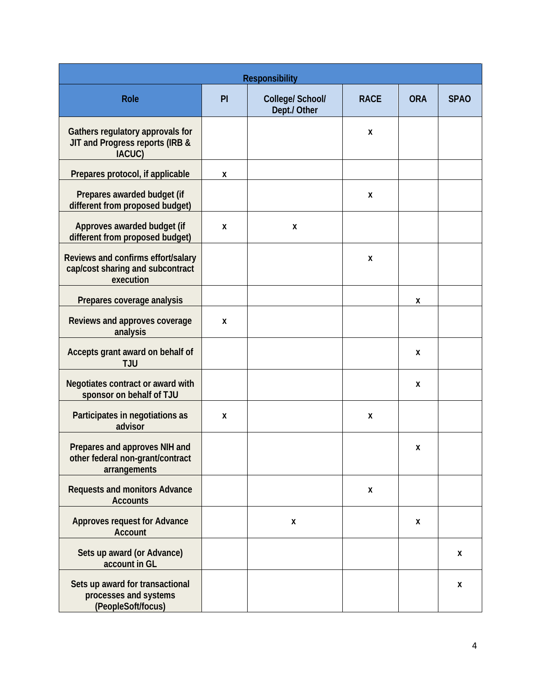| <b>Responsibility</b>                                                               |    |                                  |             |            |             |  |  |
|-------------------------------------------------------------------------------------|----|----------------------------------|-------------|------------|-------------|--|--|
| Role                                                                                | PI | College/ School/<br>Dept./ Other | <b>RACE</b> | <b>ORA</b> | <b>SPAO</b> |  |  |
| Gathers regulatory approvals for<br>JIT and Progress reports (IRB &<br>IACUC)       |    |                                  | X           |            |             |  |  |
| Prepares protocol, if applicable                                                    | Χ  |                                  |             |            |             |  |  |
| Prepares awarded budget (if<br>different from proposed budget)                      |    |                                  | X           |            |             |  |  |
| Approves awarded budget (if<br>different from proposed budget)                      | X  | X                                |             |            |             |  |  |
| Reviews and confirms effort/salary<br>cap/cost sharing and subcontract<br>execution |    |                                  | X           |            |             |  |  |
| Prepares coverage analysis                                                          |    |                                  |             | X          |             |  |  |
| Reviews and approves coverage<br>analysis                                           | X  |                                  |             |            |             |  |  |
| Accepts grant award on behalf of<br><b>TJU</b>                                      |    |                                  |             | X          |             |  |  |
| Negotiates contract or award with<br>sponsor on behalf of TJU                       |    |                                  |             | X          |             |  |  |
| Participates in negotiations as<br>advisor                                          | X  |                                  | X           |            |             |  |  |
| Prepares and approves NIH and<br>other federal non-grant/contract<br>arrangements   |    |                                  |             | X          |             |  |  |
| <b>Requests and monitors Advance</b><br><b>Accounts</b>                             |    |                                  | X           |            |             |  |  |
| <b>Approves request for Advance</b><br><b>Account</b>                               |    | X                                |             | X          |             |  |  |
| Sets up award (or Advance)<br>account in GL                                         |    |                                  |             |            | X           |  |  |
| Sets up award for transactional<br>processes and systems<br>(PeopleSoft/focus)      |    |                                  |             |            | X           |  |  |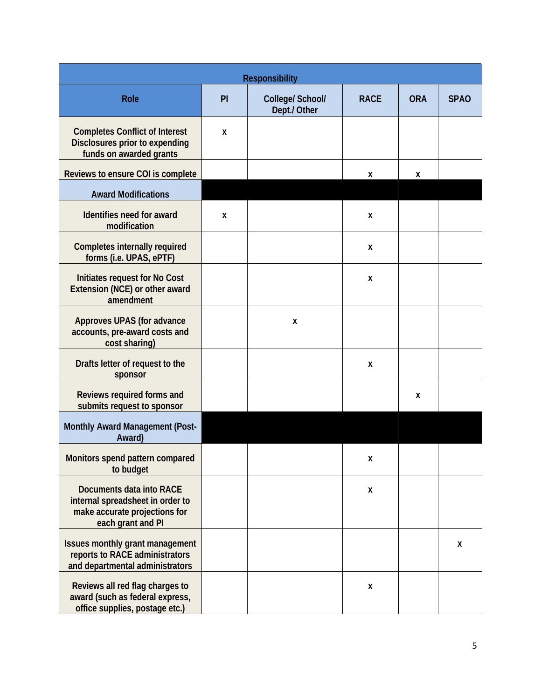| <b>Responsibility</b>                                                                                              |    |                                  |             |            |             |
|--------------------------------------------------------------------------------------------------------------------|----|----------------------------------|-------------|------------|-------------|
| Role                                                                                                               | PI | College/ School/<br>Dept./ Other | <b>RACE</b> | <b>ORA</b> | <b>SPAO</b> |
| <b>Completes Conflict of Interest</b><br>Disclosures prior to expending<br>funds on awarded grants                 | X  |                                  |             |            |             |
| Reviews to ensure COI is complete                                                                                  |    |                                  | X           | X          |             |
| <b>Award Modifications</b>                                                                                         |    |                                  |             |            |             |
| Identifies need for award<br>modification                                                                          | X  |                                  | X           |            |             |
| <b>Completes internally required</b><br>forms (i.e. UPAS, ePTF)                                                    |    |                                  | X           |            |             |
| Initiates request for No Cost<br>Extension (NCE) or other award<br>amendment                                       |    |                                  | X           |            |             |
| Approves UPAS (for advance<br>accounts, pre-award costs and<br>cost sharing)                                       |    | X                                |             |            |             |
| Drafts letter of request to the<br>sponsor                                                                         |    |                                  | X           |            |             |
| Reviews required forms and<br>submits request to sponsor                                                           |    |                                  |             | X          |             |
| Monthly Award Management (Post-<br>Award)                                                                          |    |                                  |             |            |             |
| Monitors spend pattern compared<br>to budget                                                                       |    |                                  | χ           |            |             |
| Documents data into RACE<br>internal spreadsheet in order to<br>make accurate projections for<br>each grant and PI |    |                                  | X           |            |             |
| Issues monthly grant management<br>reports to RACE administrators<br>and departmental administrators               |    |                                  |             |            | X           |
| Reviews all red flag charges to<br>award (such as federal express,<br>office supplies, postage etc.)               |    |                                  | X           |            |             |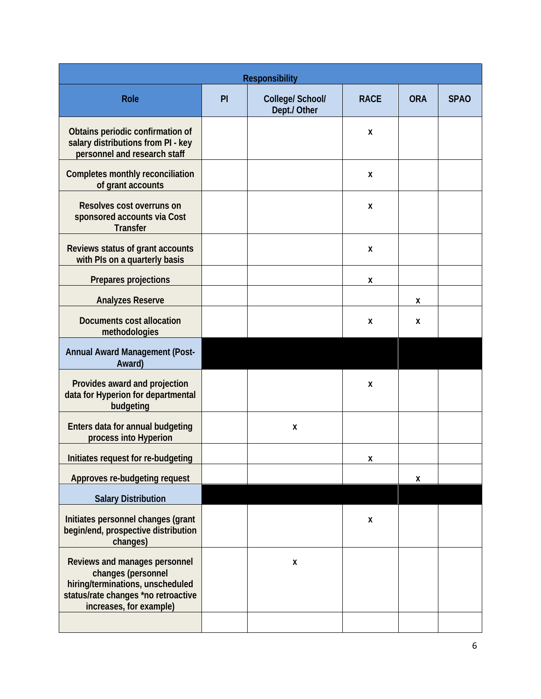| <b>Responsibility</b>                                                                                                                                     |    |                                  |             |            |             |  |
|-----------------------------------------------------------------------------------------------------------------------------------------------------------|----|----------------------------------|-------------|------------|-------------|--|
| <b>Role</b>                                                                                                                                               | PI | College/ School/<br>Dept./ Other | <b>RACE</b> | <b>ORA</b> | <b>SPAO</b> |  |
| Obtains periodic confirmation of<br>salary distributions from PI - key<br>personnel and research staff                                                    |    |                                  | X           |            |             |  |
| <b>Completes monthly reconciliation</b><br>of grant accounts                                                                                              |    |                                  | X           |            |             |  |
| Resolves cost overruns on<br>sponsored accounts via Cost<br><b>Transfer</b>                                                                               |    |                                  | X           |            |             |  |
| Reviews status of grant accounts<br>with PIs on a quarterly basis                                                                                         |    |                                  | X           |            |             |  |
| Prepares projections                                                                                                                                      |    |                                  | X           |            |             |  |
| <b>Analyzes Reserve</b>                                                                                                                                   |    |                                  |             | X          |             |  |
| Documents cost allocation<br>methodologies                                                                                                                |    |                                  | X           | X          |             |  |
| <b>Annual Award Management (Post-</b><br>Award)                                                                                                           |    |                                  |             |            |             |  |
| Provides award and projection<br>data for Hyperion for departmental<br>budgeting                                                                          |    |                                  | X           |            |             |  |
| Enters data for annual budgeting<br>process into Hyperion                                                                                                 |    | X                                |             |            |             |  |
| Initiates request for re-budgeting                                                                                                                        |    |                                  | Χ           |            |             |  |
| Approves re-budgeting request                                                                                                                             |    |                                  |             | X          |             |  |
| <b>Salary Distribution</b>                                                                                                                                |    |                                  |             |            |             |  |
| Initiates personnel changes (grant<br>begin/end, prospective distribution<br>changes)                                                                     |    |                                  | X           |            |             |  |
| Reviews and manages personnel<br>changes (personnel<br>hiring/terminations, unscheduled<br>status/rate changes *no retroactive<br>increases, for example) |    | X                                |             |            |             |  |
|                                                                                                                                                           |    |                                  |             |            |             |  |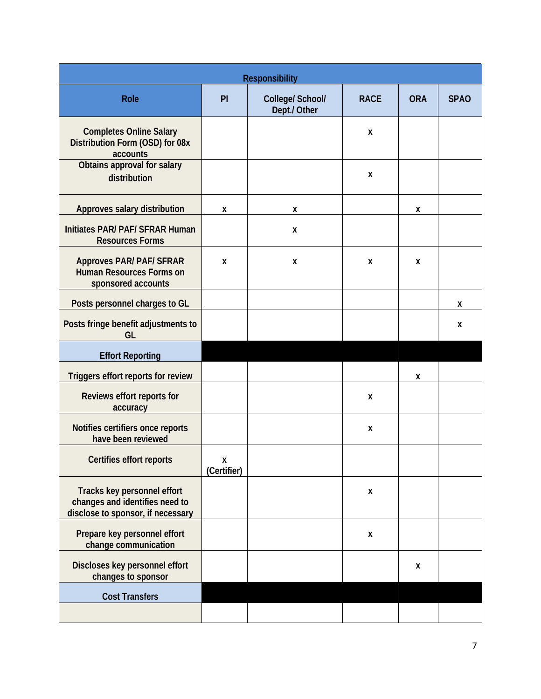| <b>Responsibility</b>                                                                              |                  |                                  |             |            |             |  |  |
|----------------------------------------------------------------------------------------------------|------------------|----------------------------------|-------------|------------|-------------|--|--|
| Role                                                                                               | PI               | College/ School/<br>Dept./ Other | <b>RACE</b> | <b>ORA</b> | <b>SPAO</b> |  |  |
| <b>Completes Online Salary</b><br>Distribution Form (OSD) for 08x<br>accounts                      |                  |                                  | X           |            |             |  |  |
| Obtains approval for salary<br>distribution                                                        |                  |                                  | X           |            |             |  |  |
| Approves salary distribution                                                                       | X                | X                                |             | X          |             |  |  |
| Initiates PAR/ PAF/ SFRAR Human<br><b>Resources Forms</b>                                          |                  | X                                |             |            |             |  |  |
| <b>Approves PAR/ PAF/ SFRAR</b><br><b>Human Resources Forms on</b><br>sponsored accounts           | X                | X                                | X           | X          |             |  |  |
| Posts personnel charges to GL                                                                      |                  |                                  |             |            | X           |  |  |
| Posts fringe benefit adjustments to<br>GL                                                          |                  |                                  |             |            | X           |  |  |
| <b>Effort Reporting</b>                                                                            |                  |                                  |             |            |             |  |  |
| Triggers effort reports for review                                                                 |                  |                                  |             | X          |             |  |  |
| Reviews effort reports for<br>accuracy                                                             |                  |                                  | X           |            |             |  |  |
| Notifies certifiers once reports<br>have been reviewed                                             |                  |                                  | X           |            |             |  |  |
| Certifies effort reports                                                                           | X<br>(Certifier) |                                  |             |            |             |  |  |
| Tracks key personnel effort<br>changes and identifies need to<br>disclose to sponsor, if necessary |                  |                                  | X           |            |             |  |  |
| Prepare key personnel effort<br>change communication                                               |                  |                                  | X           |            |             |  |  |
| Discloses key personnel effort<br>changes to sponsor                                               |                  |                                  |             | X          |             |  |  |
| <b>Cost Transfers</b>                                                                              |                  |                                  |             |            |             |  |  |
|                                                                                                    |                  |                                  |             |            |             |  |  |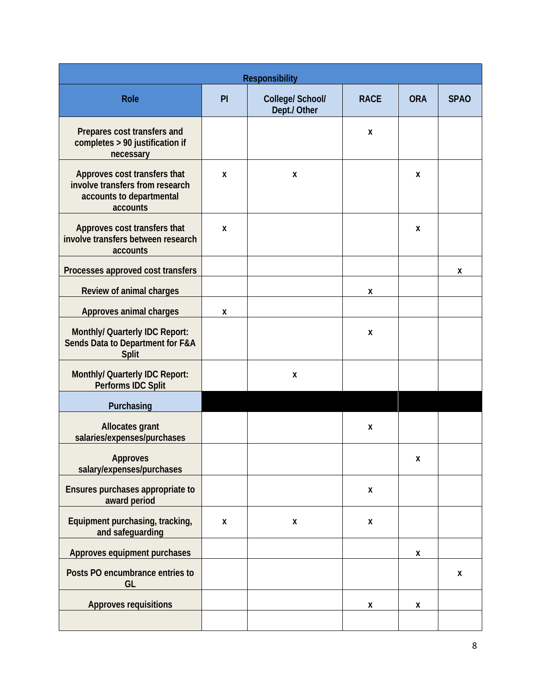| <b>Responsibility</b>                                                                                   |    |                                  |             |            |             |  |  |
|---------------------------------------------------------------------------------------------------------|----|----------------------------------|-------------|------------|-------------|--|--|
| <b>Role</b>                                                                                             | PI | College/ School/<br>Dept./ Other | <b>RACE</b> | <b>ORA</b> | <b>SPAO</b> |  |  |
| Prepares cost transfers and<br>completes > 90 justification if<br>necessary                             |    |                                  | X           |            |             |  |  |
| Approves cost transfers that<br>involve transfers from research<br>accounts to departmental<br>accounts | X  | X                                |             | X          |             |  |  |
| Approves cost transfers that<br>involve transfers between research<br>accounts                          | X  |                                  |             | X          |             |  |  |
| Processes approved cost transfers                                                                       |    |                                  |             |            | X           |  |  |
| Review of animal charges                                                                                |    |                                  | X           |            |             |  |  |
| Approves animal charges                                                                                 | X  |                                  |             |            |             |  |  |
| Monthly/ Quarterly IDC Report:<br>Sends Data to Department for F&A<br><b>Split</b>                      |    |                                  | X           |            |             |  |  |
| Monthly/ Quarterly IDC Report:<br>Performs IDC Split                                                    |    | X                                |             |            |             |  |  |
| Purchasing                                                                                              |    |                                  |             |            |             |  |  |
| <b>Allocates grant</b><br>salaries/expenses/purchases                                                   |    |                                  | X           |            |             |  |  |
| <b>Approves</b><br>salary/expenses/purchases                                                            |    |                                  |             | Χ          |             |  |  |
| Ensures purchases appropriate to<br>award period                                                        |    |                                  | X           |            |             |  |  |
| Equipment purchasing, tracking,<br>and safeguarding                                                     | X  | X                                | X           |            |             |  |  |
| Approves equipment purchases                                                                            |    |                                  |             | X          |             |  |  |
| Posts PO encumbrance entries to<br>GL                                                                   |    |                                  |             |            | X           |  |  |
| <b>Approves requisitions</b>                                                                            |    |                                  | Χ           | Χ          |             |  |  |
|                                                                                                         |    |                                  |             |            |             |  |  |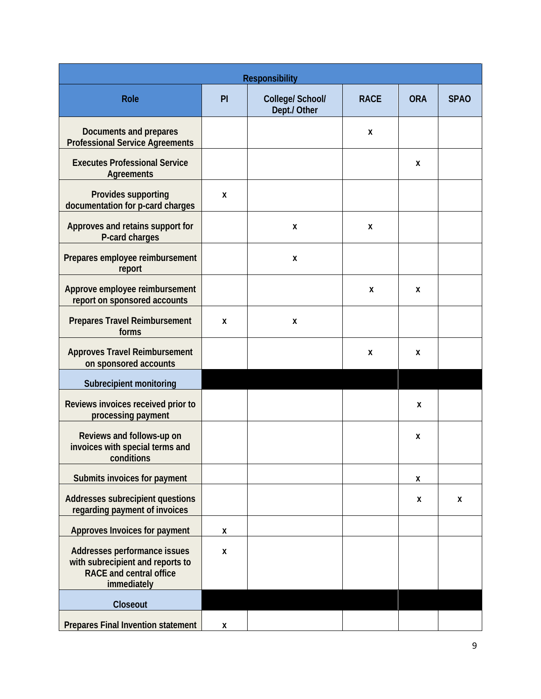| <b>Responsibility</b>                                                                                             |    |                                  |             |            |             |  |  |
|-------------------------------------------------------------------------------------------------------------------|----|----------------------------------|-------------|------------|-------------|--|--|
| <b>Role</b>                                                                                                       | PI | College/ School/<br>Dept./ Other | <b>RACE</b> | <b>ORA</b> | <b>SPAO</b> |  |  |
| <b>Documents and prepares</b><br><b>Professional Service Agreements</b>                                           |    |                                  | X           |            |             |  |  |
| <b>Executes Professional Service</b><br><b>Agreements</b>                                                         |    |                                  |             | X          |             |  |  |
| Provides supporting<br>documentation for p-card charges                                                           | X  |                                  |             |            |             |  |  |
| Approves and retains support for<br>P-card charges                                                                |    | X                                | X           |            |             |  |  |
| Prepares employee reimbursement<br>report                                                                         |    | X                                |             |            |             |  |  |
| Approve employee reimbursement<br>report on sponsored accounts                                                    |    |                                  | X           | X          |             |  |  |
| <b>Prepares Travel Reimbursement</b><br>forms                                                                     | X  | X                                |             |            |             |  |  |
| <b>Approves Travel Reimbursement</b><br>on sponsored accounts                                                     |    |                                  | Χ           | X          |             |  |  |
| Subrecipient monitoring                                                                                           |    |                                  |             |            |             |  |  |
| Reviews invoices received prior to<br>processing payment                                                          |    |                                  |             | X          |             |  |  |
| Reviews and follows-up on<br>invoices with special terms and<br>conditions                                        |    |                                  |             | X          |             |  |  |
| Submits invoices for payment                                                                                      |    |                                  |             | X          |             |  |  |
| Addresses subrecipient questions<br>regarding payment of invoices                                                 |    |                                  |             | X          | X           |  |  |
| Approves Invoices for payment                                                                                     | X  |                                  |             |            |             |  |  |
| Addresses performance issues<br>with subrecipient and reports to<br><b>RACE and central office</b><br>immediately | X  |                                  |             |            |             |  |  |
| Closeout                                                                                                          |    |                                  |             |            |             |  |  |
| <b>Prepares Final Invention statement</b>                                                                         | X  |                                  |             |            |             |  |  |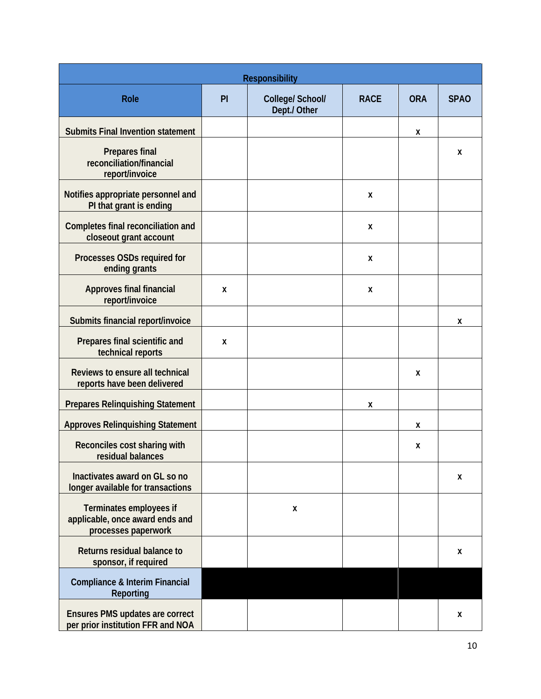| <b>Responsibility</b>                                                             |    |                                  |             |            |             |  |
|-----------------------------------------------------------------------------------|----|----------------------------------|-------------|------------|-------------|--|
| <b>Role</b>                                                                       | PI | College/ School/<br>Dept./ Other | <b>RACE</b> | <b>ORA</b> | <b>SPAO</b> |  |
| <b>Submits Final Invention statement</b>                                          |    |                                  |             | X          |             |  |
| <b>Prepares final</b><br>reconciliation/financial<br>report/invoice               |    |                                  |             |            | X           |  |
| Notifies appropriate personnel and<br>PI that grant is ending                     |    |                                  | X           |            |             |  |
| Completes final reconciliation and<br>closeout grant account                      |    |                                  | X           |            |             |  |
| Processes OSDs required for<br>ending grants                                      |    |                                  | X           |            |             |  |
| <b>Approves final financial</b><br>report/invoice                                 | X  |                                  | X           |            |             |  |
| Submits financial report/invoice                                                  |    |                                  |             |            | X           |  |
| Prepares final scientific and<br>technical reports                                | X  |                                  |             |            |             |  |
| Reviews to ensure all technical<br>reports have been delivered                    |    |                                  |             | X          |             |  |
| <b>Prepares Relinquishing Statement</b>                                           |    |                                  | X           |            |             |  |
| <b>Approves Relinquishing Statement</b>                                           |    |                                  |             | X          |             |  |
| Reconciles cost sharing with<br>residual balances                                 |    |                                  |             | X          |             |  |
| Inactivates award on GL so no<br>longer available for transactions                |    |                                  |             |            | X           |  |
| Terminates employees if<br>applicable, once award ends and<br>processes paperwork |    | X                                |             |            |             |  |
| Returns residual balance to<br>sponsor, if required                               |    |                                  |             |            | X           |  |
| <b>Compliance &amp; Interim Financial</b><br><b>Reporting</b>                     |    |                                  |             |            |             |  |
| <b>Ensures PMS updates are correct</b><br>per prior institution FFR and NOA       |    |                                  |             |            | X           |  |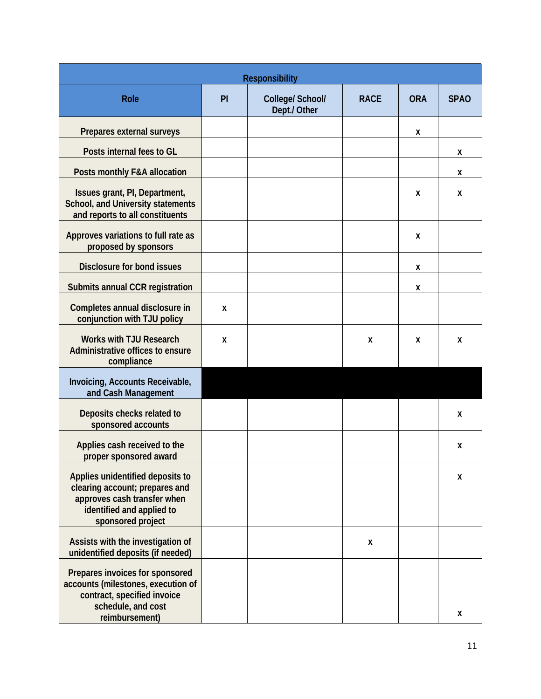|                                                                                                                                                     |    | <b>Responsibility</b>            |             |            |             |
|-----------------------------------------------------------------------------------------------------------------------------------------------------|----|----------------------------------|-------------|------------|-------------|
| <b>Role</b>                                                                                                                                         | PI | College/ School/<br>Dept./ Other | <b>RACE</b> | <b>ORA</b> | <b>SPAO</b> |
| Prepares external surveys                                                                                                                           |    |                                  |             | Χ          |             |
| Posts internal fees to GL                                                                                                                           |    |                                  |             |            | X           |
| Posts monthly F&A allocation                                                                                                                        |    |                                  |             |            | X           |
| Issues grant, PI, Department,<br>School, and University statements<br>and reports to all constituents                                               |    |                                  |             | X          | X           |
| Approves variations to full rate as<br>proposed by sponsors                                                                                         |    |                                  |             | X          |             |
| <b>Disclosure for bond issues</b>                                                                                                                   |    |                                  |             | X          |             |
| Submits annual CCR registration                                                                                                                     |    |                                  |             | X          |             |
| Completes annual disclosure in<br>conjunction with TJU policy                                                                                       | X  |                                  |             |            |             |
| <b>Works with TJU Research</b><br>Administrative offices to ensure<br>compliance                                                                    | X  |                                  | X           | X          | X           |
| Invoicing, Accounts Receivable,<br>and Cash Management                                                                                              |    |                                  |             |            |             |
| Deposits checks related to<br>sponsored accounts                                                                                                    |    |                                  |             |            | X           |
| Applies cash received to the<br>proper sponsored award                                                                                              |    |                                  |             |            | X           |
| Applies unidentified deposits to<br>clearing account; prepares and<br>approves cash transfer when<br>identified and applied to<br>sponsored project |    |                                  |             |            | X           |
| Assists with the investigation of<br>unidentified deposits (if needed)                                                                              |    |                                  | X           |            |             |
| Prepares invoices for sponsored<br>accounts (milestones, execution of<br>contract, specified invoice<br>schedule, and cost<br>reimbursement)        |    |                                  |             |            | X           |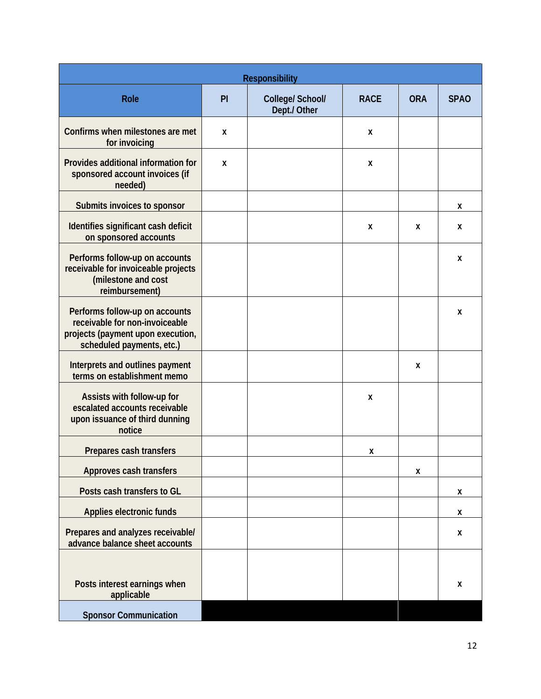| <b>Responsibility</b>                                                                                                              |    |                                  |             |            |             |  |
|------------------------------------------------------------------------------------------------------------------------------------|----|----------------------------------|-------------|------------|-------------|--|
| <b>Role</b>                                                                                                                        | PI | College/ School/<br>Dept./ Other | <b>RACE</b> | <b>ORA</b> | <b>SPAO</b> |  |
| Confirms when milestones are met<br>for invoicing                                                                                  | X  |                                  | X           |            |             |  |
| Provides additional information for<br>sponsored account invoices (if<br>needed)                                                   | X  |                                  | X           |            |             |  |
| Submits invoices to sponsor                                                                                                        |    |                                  |             |            | X           |  |
| Identifies significant cash deficit<br>on sponsored accounts                                                                       |    |                                  | X           | X          | X           |  |
| Performs follow-up on accounts<br>receivable for invoiceable projects<br>(milestone and cost<br>reimbursement)                     |    |                                  |             |            | X           |  |
| Performs follow-up on accounts<br>receivable for non-invoiceable<br>projects (payment upon execution,<br>scheduled payments, etc.) |    |                                  |             |            | X           |  |
| Interprets and outlines payment<br>terms on establishment memo                                                                     |    |                                  |             | X          |             |  |
| Assists with follow-up for<br>escalated accounts receivable<br>upon issuance of third dunning<br>notice                            |    |                                  | X           |            |             |  |
| Prepares cash transfers                                                                                                            |    |                                  | X           |            |             |  |
| Approves cash transfers                                                                                                            |    |                                  |             | Χ          |             |  |
| Posts cash transfers to GL                                                                                                         |    |                                  |             |            | X           |  |
| Applies electronic funds                                                                                                           |    |                                  |             |            | X           |  |
| Prepares and analyzes receivable/<br>advance balance sheet accounts                                                                |    |                                  |             |            | X           |  |
| Posts interest earnings when<br>applicable                                                                                         |    |                                  |             |            | X           |  |
| <b>Sponsor Communication</b>                                                                                                       |    |                                  |             |            |             |  |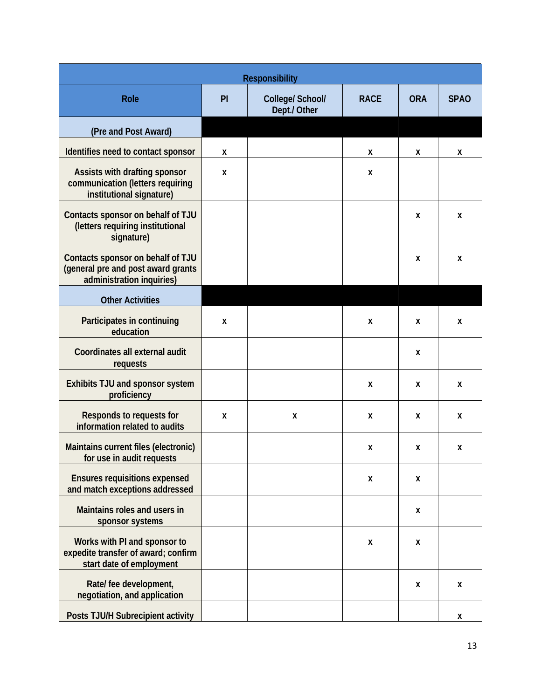| <b>Responsibility</b>                                                                                |    |                                  |             |            |             |  |  |  |
|------------------------------------------------------------------------------------------------------|----|----------------------------------|-------------|------------|-------------|--|--|--|
| <b>Role</b>                                                                                          | PI | College/ School/<br>Dept./ Other | <b>RACE</b> | <b>ORA</b> | <b>SPAO</b> |  |  |  |
| (Pre and Post Award)                                                                                 |    |                                  |             |            |             |  |  |  |
| Identifies need to contact sponsor                                                                   | X  |                                  | X           | X          | X           |  |  |  |
| Assists with drafting sponsor<br>communication (letters requiring<br>institutional signature)        | X  |                                  | X           |            |             |  |  |  |
| Contacts sponsor on behalf of TJU<br>(letters requiring institutional<br>signature)                  |    |                                  |             | X          | X           |  |  |  |
| Contacts sponsor on behalf of TJU<br>(general pre and post award grants<br>administration inquiries) |    |                                  |             | X          | X           |  |  |  |
| <b>Other Activities</b>                                                                              |    |                                  |             |            |             |  |  |  |
| Participates in continuing<br>education                                                              | X  |                                  | X           | X          | X           |  |  |  |
| Coordinates all external audit<br>requests                                                           |    |                                  |             | X          |             |  |  |  |
| Exhibits TJU and sponsor system<br>proficiency                                                       |    |                                  | X           | X          | X           |  |  |  |
| Responds to requests for<br>information related to audits                                            | X  | X                                | X           | X          | X           |  |  |  |
| Maintains current files (electronic)<br>for use in audit requests                                    |    |                                  | X           | X          | X           |  |  |  |
| <b>Ensures requisitions expensed</b><br>and match exceptions addressed                               |    |                                  | X           | X          |             |  |  |  |
| Maintains roles and users in<br>sponsor systems                                                      |    |                                  |             | X          |             |  |  |  |
| Works with PI and sponsor to<br>expedite transfer of award; confirm<br>start date of employment      |    |                                  | X           | X          |             |  |  |  |
| Rate/ fee development,<br>negotiation, and application                                               |    |                                  |             | X          | X           |  |  |  |
| Posts TJU/H Subrecipient activity                                                                    |    |                                  |             |            | X           |  |  |  |